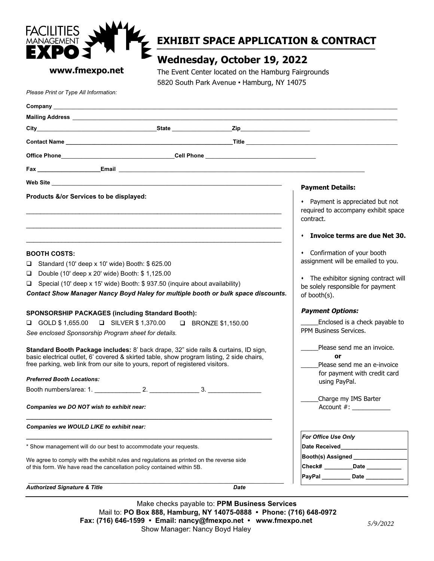

# **EXHIBIT SPACE APPLICATION & CONTRACT**

### **www.fmexpo.net**

## **Wednesday, October 19, 2022**

The Event Center located on the Hamburg Fairgrounds 5820 South Park Avenue • Hamburg, NY 14075

*Please Print or Type All Information:*

| Company<br><u> 1989 - Johann Johann Stoff, deutscher Stoffen und der Stoffen und der Stoffen und der Stoffen und der Stoffen</u>                                                                                                                                                                                                                                                                                                                                                                                                                                                                                                                                                                                                                                                                                                                                  |                                                                                                                                                                                                                                                                                                                                                                                                                   |
|-------------------------------------------------------------------------------------------------------------------------------------------------------------------------------------------------------------------------------------------------------------------------------------------------------------------------------------------------------------------------------------------------------------------------------------------------------------------------------------------------------------------------------------------------------------------------------------------------------------------------------------------------------------------------------------------------------------------------------------------------------------------------------------------------------------------------------------------------------------------|-------------------------------------------------------------------------------------------------------------------------------------------------------------------------------------------------------------------------------------------------------------------------------------------------------------------------------------------------------------------------------------------------------------------|
|                                                                                                                                                                                                                                                                                                                                                                                                                                                                                                                                                                                                                                                                                                                                                                                                                                                                   |                                                                                                                                                                                                                                                                                                                                                                                                                   |
|                                                                                                                                                                                                                                                                                                                                                                                                                                                                                                                                                                                                                                                                                                                                                                                                                                                                   |                                                                                                                                                                                                                                                                                                                                                                                                                   |
|                                                                                                                                                                                                                                                                                                                                                                                                                                                                                                                                                                                                                                                                                                                                                                                                                                                                   |                                                                                                                                                                                                                                                                                                                                                                                                                   |
|                                                                                                                                                                                                                                                                                                                                                                                                                                                                                                                                                                                                                                                                                                                                                                                                                                                                   |                                                                                                                                                                                                                                                                                                                                                                                                                   |
|                                                                                                                                                                                                                                                                                                                                                                                                                                                                                                                                                                                                                                                                                                                                                                                                                                                                   |                                                                                                                                                                                                                                                                                                                                                                                                                   |
|                                                                                                                                                                                                                                                                                                                                                                                                                                                                                                                                                                                                                                                                                                                                                                                                                                                                   | <b>Payment Details:</b>                                                                                                                                                                                                                                                                                                                                                                                           |
| Products &/or Services to be displayed:                                                                                                                                                                                                                                                                                                                                                                                                                                                                                                                                                                                                                                                                                                                                                                                                                           | • Payment is appreciated but not<br>required to accompany exhibit space<br>contract.                                                                                                                                                                                                                                                                                                                              |
|                                                                                                                                                                                                                                                                                                                                                                                                                                                                                                                                                                                                                                                                                                                                                                                                                                                                   | $\cdot$ Invoice terms are due Net 30.                                                                                                                                                                                                                                                                                                                                                                             |
| <b>BOOTH COSTS:</b><br>Standard (10' deep x 10' wide) Booth: \$625.00<br>□<br>$\Box$<br>Double (10' deep x 20' wide) Booth: \$1,125.00<br>Special (10' deep x 15' wide) Booth: \$937.50 (inquire about availability)<br>O.<br>Contact Show Manager Nancy Boyd Haley for multiple booth or bulk space discounts.<br><b>SPONSORSHIP PACKAGES (including Standard Booth):</b><br><b>Q</b> GOLD \$ 1,655.00<br>□ SILVER \$ 1,370.00 □ BRONZE \$1,150.00<br>See enclosed Sponsorship Program sheet for details.<br>Standard Booth Package includes: 8' back drape, 32" side rails & curtains, ID sign,<br>basic electrical outlet, 6' covered & skirted table, show program listing, 2 side chairs,<br>free parking, web link from our site to yours, report of registered visitors.<br><b>Preferred Booth Locations:</b><br>Companies we DO NOT wish to exhibit near: | • Confirmation of your booth<br>assignment will be emailed to you.<br>• The exhibitor signing contract will<br>be solely responsible for payment<br>of booth(s).<br><b>Payment Options:</b><br>Enclosed is a check payable to<br>PPM Business Services.<br>Please send me an invoice.<br>or<br>Please send me an e-invoice<br>for payment with credit card<br>using PayPal.<br>Charge my IMS Barter<br>Account #: |
| Companies we WOULD LIKE to exhibit near:                                                                                                                                                                                                                                                                                                                                                                                                                                                                                                                                                                                                                                                                                                                                                                                                                          | For Office Use Only                                                                                                                                                                                                                                                                                                                                                                                               |
| * Show management will do our best to accommodate your requests.                                                                                                                                                                                                                                                                                                                                                                                                                                                                                                                                                                                                                                                                                                                                                                                                  | Date Received <b>Example 20</b>                                                                                                                                                                                                                                                                                                                                                                                   |
| We agree to comply with the exhibit rules and regulations as printed on the reverse side<br>of this form. We have read the cancellation policy contained within 5B.                                                                                                                                                                                                                                                                                                                                                                                                                                                                                                                                                                                                                                                                                               | Booth(s) Assigned _______________<br>Check# Date<br>PayPal Date                                                                                                                                                                                                                                                                                                                                                   |
| <b>Authorized Signature &amp; Title</b><br>Date                                                                                                                                                                                                                                                                                                                                                                                                                                                                                                                                                                                                                                                                                                                                                                                                                   |                                                                                                                                                                                                                                                                                                                                                                                                                   |

Make checks payable to: **PPM Business Services** Mail to: **PO Box 888, Hamburg, NY 14075-0888 • Phone: (716) 648-0972 Fax: (716) 646-1599 • Email: nancy@fmexpo.net • www.fmexpo.net** Show Manager: Nancy Boyd Haley